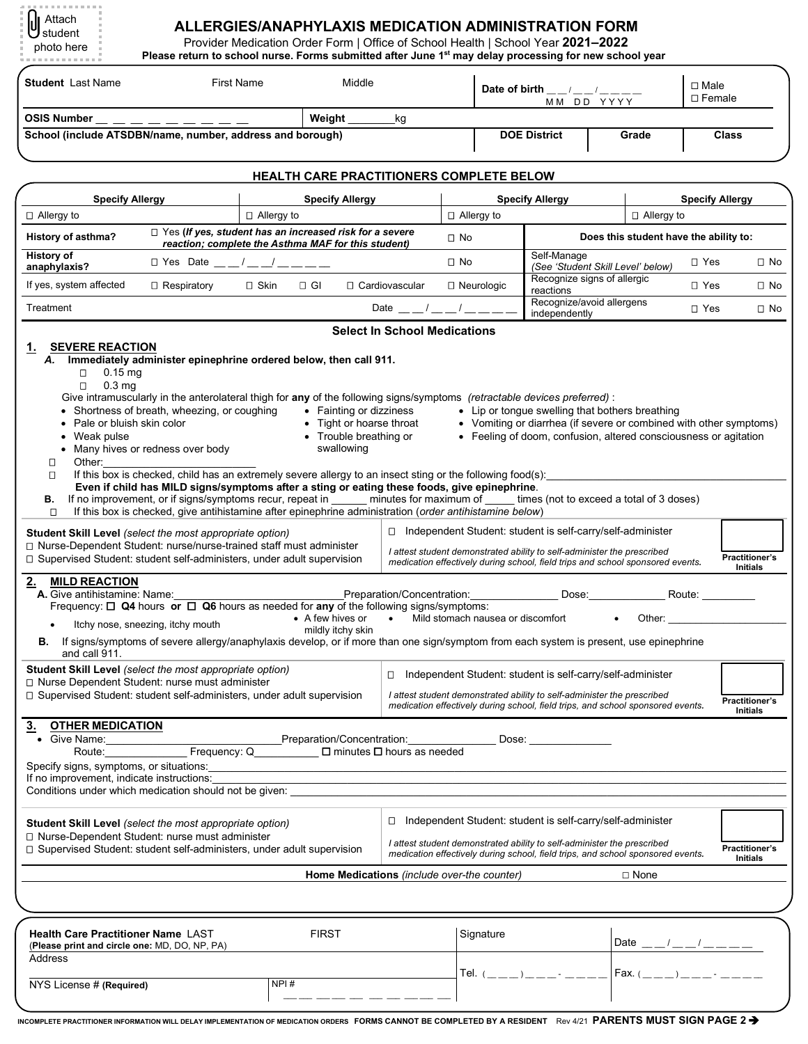| U Attach   |  |
|------------|--|
| 빈 student  |  |
|            |  |
| photo here |  |
|            |  |
|            |  |

## **ALLERGIES/ANAPHYLAXIS MEDICATION ADMINISTRATION FORM**

Provider Medication Order Form | Office of School Health | School Year **2021–2022** 

| טושוט וושוט                                               | Please return to school nurse. Forms submitted after June 1 <sup>st</sup> may delay processing for new school year    |                        |           |                                                 |                              |                        |                                        |                                                           |  |  |                              |              |
|-----------------------------------------------------------|-----------------------------------------------------------------------------------------------------------------------|------------------------|-----------|-------------------------------------------------|------------------------------|------------------------|----------------------------------------|-----------------------------------------------------------|--|--|------------------------------|--------------|
| <b>Student</b> Last Name                                  | <b>First Name</b>                                                                                                     |                        |           | Middle                                          |                              |                        |                                        | Date of birth $\_{\_}/\_{\_}/\_{\_}/\_{\_}$<br>MM DD YYYY |  |  | $\Box$ Male<br>$\Box$ Female |              |
| <b>OSIS Number</b>                                        |                                                                                                                       |                        | Weight    |                                                 | kg                           |                        |                                        |                                                           |  |  |                              |              |
| School (include ATSDBN/name, number, address and borough) |                                                                                                                       |                        |           |                                                 | <b>DOE District</b><br>Grade |                        |                                        | <b>Class</b>                                              |  |  |                              |              |
|                                                           |                                                                                                                       |                        |           |                                                 |                              |                        |                                        |                                                           |  |  |                              |              |
|                                                           |                                                                                                                       |                        |           | <b>HEALTH CARE PRACTITIONERS COMPLETE BELOW</b> |                              |                        |                                        |                                                           |  |  |                              |              |
| <b>Specify Allergy</b>                                    |                                                                                                                       | <b>Specify Allergy</b> |           | <b>Specify Allergy</b>                          |                              | <b>Specify Allergy</b> |                                        |                                                           |  |  |                              |              |
| $\Box$ Allergy to                                         |                                                                                                                       | $\Box$ Allergy to      |           |                                                 | □ Allergy to                 |                        |                                        | $\Box$ Allergy to                                         |  |  |                              |              |
| History of asthma?                                        | $\Box$ Yes (If yes, student has an increased risk for a severe<br>reaction; complete the Asthma MAF for this student) |                        |           |                                                 | $\square$ No                 |                        | Does this student have the ability to: |                                                           |  |  |                              |              |
| <b>History of</b><br>anaphylaxis?                         | □ Yes Date / /                                                                                                        |                        |           |                                                 |                              | $\square$ No           |                                        | Self-Manage<br>(See 'Student Skill Level' below)          |  |  | $\square$ Yes                | $\square$ No |
| If yes, system affected                                   | $\Box$ Respiratory                                                                                                    | □ Skin                 | $\Box$ GI | □ Cardiovascular                                |                              |                        | $\Box$ Neurologic                      | Recognize signs of allergic<br>reactions                  |  |  | □ Yes                        | $\square$ No |
| Treatment                                                 |                                                                                                                       |                        |           |                                                 | Date / /                     |                        |                                        | Recognize/avoid allergens<br>independently                |  |  | $\Box$ Yes                   | $\square$ No |
|                                                           |                                                                                                                       |                        |           | <b>Select In School Medications</b>             |                              |                        |                                        |                                                           |  |  |                              |              |

| <b>SEVERE REACTION</b><br>1.<br>Immediately administer epinephrine ordered below, then call 911.<br>А.                                                                                                                                                                                                                                                                                                                                            |                                                                                                                                                                                                                                                                                                                                                                                                                                                                |                                          |
|---------------------------------------------------------------------------------------------------------------------------------------------------------------------------------------------------------------------------------------------------------------------------------------------------------------------------------------------------------------------------------------------------------------------------------------------------|----------------------------------------------------------------------------------------------------------------------------------------------------------------------------------------------------------------------------------------------------------------------------------------------------------------------------------------------------------------------------------------------------------------------------------------------------------------|------------------------------------------|
| $0.15$ mg<br>$\Box$<br>$\Box$<br>0.3 <sub>mg</sub><br>Give intramuscularly in the anterolateral thigh for any of the following signs/symptoms (retractable devices preferred) :<br>• Shortness of breath, wheezing, or coughing<br>• Fainting or dizziness<br>• Tight or hoarse throat<br>• Pale or bluish skin color<br>• Trouble breathing or<br>Weak pulse<br>$\bullet$<br>swallowing<br>• Many hives or redness over body<br>Other:<br>□<br>Л | • Lip or tonque swelling that bothers breathing<br>• Vomiting or diarrhea (if severe or combined with other symptoms)<br>• Feeling of doom, confusion, altered consciousness or agitation<br>If this box is checked, child has an extremely severe allergy to an insect sting or the following food(s):                                                                                                                                                        |                                          |
| Even if child has MILD signs/symptoms after a sting or eating these foods, give epinephrine.<br>В.<br>If this box is checked, give antihistamine after epinephrine administration (order antihistamine below)<br>О                                                                                                                                                                                                                                | If no improvement, or if signs/symptoms recur, repeat in minutes for maximum of times (not to exceed a total of 3 doses)                                                                                                                                                                                                                                                                                                                                       |                                          |
| Student Skill Level (select the most appropriate option)<br>□ Nurse-Dependent Student: nurse/nurse-trained staff must administer<br>□ Supervised Student: student self-administers, under adult supervision                                                                                                                                                                                                                                       | □ Independent Student: student is self-carry/self-administer<br>I attest student demonstrated ability to self-administer the prescribed<br>medication effectively during school, field trips and school sponsored events.                                                                                                                                                                                                                                      | <b>Practitioner's</b>                    |
| 2.<br><b>MILD REACTION</b><br>A. Give antihistamine: Name:<br>• A few hives or<br>Itchy nose, sneezing, itchy mouth<br>$\bullet$<br>mildly itchy skin<br>B. If signs/symptoms of severe allergy/anaphylaxis develop, or if more than one sign/symptom from each system is present, use epinephrine                                                                                                                                                | Give antihistamine: Name: <u>Capacitors Concentration:</u> Concentration: Dose: Dose: Requency: $\Box$ Q4 hours or $\Box$ Q6 hours as needed for any of the following signs/symptoms:<br>• Mild stomach nausea or discomfort<br>Other: the contract of the contract of the contract of the contract of the contract of the contract of the contract of the contract of the contract of the contract of the contract of the contract of the contract of the con | Initials                                 |
| and call 911.<br>Student Skill Level (select the most appropriate option)<br>□ Nurse Dependent Student: nurse must administer<br>□ Supervised Student: student self-administers, under adult supervision                                                                                                                                                                                                                                          | □ Independent Student: student is self-carry/self-administer<br>I attest student demonstrated ability to self-administer the prescribed<br>medication effectively during school, field trips, and school sponsored events.                                                                                                                                                                                                                                     | <b>Practitioner's</b><br><b>Initials</b> |
| <b>OTHER MEDICATION</b><br>$\overline{3}$ .<br>Give Name:<br>Specify signs, symptoms, or situations:<br>If no improvement, indicate instructions:                                                                                                                                                                                                                                                                                                 | Preparation/Concentration: ________________<br>Dose:                                                                                                                                                                                                                                                                                                                                                                                                           |                                          |
| Conditions under which medication should not be given:                                                                                                                                                                                                                                                                                                                                                                                            |                                                                                                                                                                                                                                                                                                                                                                                                                                                                |                                          |
| <b>Student Skill Level</b> (select the most appropriate option)<br>□ Nurse-Dependent Student: nurse must administer<br>□ Supervised Student: student self-administers, under adult supervision                                                                                                                                                                                                                                                    | □ Independent Student: student is self-carry/self-administer<br>I attest student demonstrated ability to self-administer the prescribed<br>medication effectively during school, field trips, and school sponsored events.                                                                                                                                                                                                                                     | <b>Practitioner's</b>                    |
|                                                                                                                                                                                                                                                                                                                                                                                                                                                   | Home Medications (include over-the counter)<br>$\Box$ None                                                                                                                                                                                                                                                                                                                                                                                                     | <b>Initials</b>                          |
|                                                                                                                                                                                                                                                                                                                                                                                                                                                   |                                                                                                                                                                                                                                                                                                                                                                                                                                                                |                                          |
| <b>FIRST</b><br>Health Care Practitioner Name LAST<br>(Please print and circle one: MD, DO, NP, PA)<br>Address                                                                                                                                                                                                                                                                                                                                    | Signature<br>Date $\frac{1}{2}$ $\frac{1}{2}$ $\frac{1}{2}$ $\frac{1}{2}$ $\frac{1}{2}$ $\frac{1}{2}$ $\frac{1}{2}$ $\frac{1}{2}$ $\frac{1}{2}$ $\frac{1}{2}$ $\frac{1}{2}$ $\frac{1}{2}$ $\frac{1}{2}$ $\frac{1}{2}$ $\frac{1}{2}$ $\frac{1}{2}$ $\frac{1}{2}$ $\frac{1}{2}$ $\frac{1}{2}$ $\frac{1}{2}$ $\frac{1}{2}$ $\frac{1}{$                                                                                                                            |                                          |
| NPI#<br>NYS License # (Required)                                                                                                                                                                                                                                                                                                                                                                                                                  | $\text{Fax.} (\_ \_ \ )$                                                                                                                                                                                                                                                                                                                                                                                                                                       |                                          |